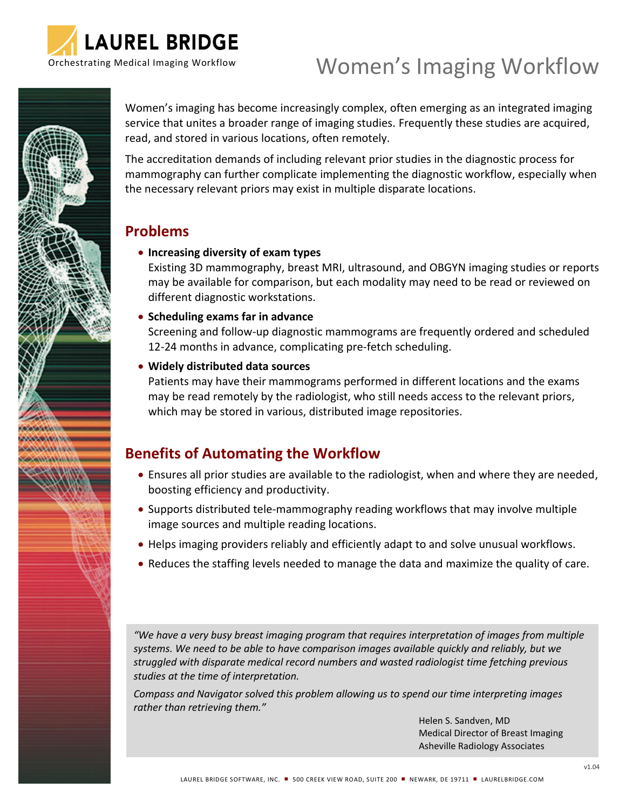

# Women's Imaging Workflow



Women's imaging has become increasingly complex, often emerging as an integrated imaging service that unites a broader range of imaging studies. Frequently these studies are acquired, read, and stored in various locations, often remotely.

The accreditation demands of including relevant prior studies in the diagnostic process for mammography can further complicate implementing the diagnostic workflow, especially when the necessary relevant priors may exist in multiple disparate locations.

## **Problems**

## • **Increasing diversity of exam types**

Existing 3D mammography, breast MRI, ultrasound, and OBGYN imaging studies or reports may be available for comparison, but each modality may need to be read or reviewed on different diagnostic workstations.

## • **Scheduling exams far in advance**

Screening and follow-up diagnostic mammograms are frequently ordered and scheduled 12-24 months in advance, complicating pre-fetch scheduling.

## • **Widely distributed data sources**

Patients may have their mammograms performed in different locations and the exams may be read remotely by the radiologist, who still needs access to the relevant priors, which may be stored in various, distributed image repositories.

# **Benefits of Automating the Workflow**

- Ensures all prior studies are available to the radiologist, when and where they are needed, boosting efficiency and productivity.
- Supports distributed tele-mammography reading workflows that may involve multiple image sources and multiple reading locations.
- Helps imaging providers reliably and efficiently adapt to and solve unusual workflows.
- Reduces the staffing levels needed to manage the data and maximize the quality of care.

*"We have a very busy breast imaging program that requires interpretation of images from multiple systems. We need to be able to have comparison images available quickly and reliably, but we struggled with disparate medical record numbers and wasted radiologist time fetching previous studies at the time of interpretation.*

*Compass and Navigator solved this problem allowing us to spend our time interpreting images rather than retrieving them."*

> Helen S. Sandven, MD Medical Director of Breast Imaging Asheville Radiology Associates